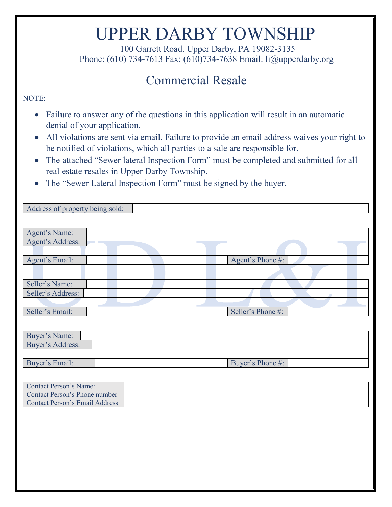# UPPER DARBY TOWNSHIP 100 Garrett Road. Upper Darby, PA 19082-3135

Phone: (610) 734-7613 Fax: (610)734-7638 Email: li@upperdarby.org

### Commercial Resale

#### NOTE:

- Failure to answer any of the questions in this application will result in an automatic denial of your application.
- All violations are sent via email. Failure to provide an email address waives your right to be notified of violations, which all parties to a sale are responsible for.
- The attached "Sewer lateral Inspection Form" must be completed and submitted for all real estate resales in Upper Darby Township.
- The "Sewer Lateral Inspection Form" must be signed by the buyer.

| Address of property being sold:       |
|---------------------------------------|
|                                       |
| Agent's Name:                         |
| Agent's Address:                      |
|                                       |
| Agent's Email:<br>Agent's Phone #:    |
|                                       |
|                                       |
| Seller's Name:                        |
| Seller's Address:                     |
|                                       |
| Seller's Email:<br>Seller's Phone #:  |
|                                       |
| Buyer's Name:                         |
| Buyer's Address:                      |
|                                       |
| Buyer's Email:<br>Buyer's Phone #:    |
|                                       |
| <b>Contact Person's Name:</b>         |
| Contact Person's Phone number         |
| <b>Contact Person's Email Address</b> |
|                                       |
|                                       |
|                                       |
|                                       |
|                                       |
|                                       |
|                                       |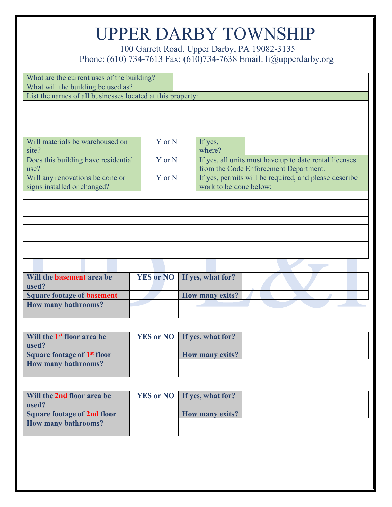100 Garrett Road. Upper Darby, PA 19082-3135<br>Phone: (610) 734-7613 Fax: (610) 734-7638 Email: li@upperdarby.org

| What are the current uses of the building?                 |                  |                                                                                                |
|------------------------------------------------------------|------------------|------------------------------------------------------------------------------------------------|
| What will the building be used as?                         |                  |                                                                                                |
| List the names of all businesses located at this property: |                  |                                                                                                |
|                                                            |                  |                                                                                                |
|                                                            |                  |                                                                                                |
|                                                            |                  |                                                                                                |
| Will materials be warehoused on                            | Y or N           | If yes,                                                                                        |
| site?                                                      |                  | where?                                                                                         |
| Does this building have residential<br>use?                | Y or N           | If yes, all units must have up to date rental licenses                                         |
| Will any renovations be done or                            | Y or N           | from the Code Enforcement Department.<br>If yes, permits will be required, and please describe |
| signs installed or changed?                                |                  | work to be done below:                                                                         |
|                                                            |                  |                                                                                                |
|                                                            |                  |                                                                                                |
|                                                            |                  |                                                                                                |
|                                                            |                  |                                                                                                |
|                                                            |                  |                                                                                                |
|                                                            |                  |                                                                                                |
|                                                            |                  |                                                                                                |
|                                                            |                  |                                                                                                |
| Will the <b>basement</b> area be                           | <b>YES or NO</b> | If yes, what for?                                                                              |
| used?                                                      |                  |                                                                                                |
| <b>Square footage of basement</b>                          |                  | How many exits?                                                                                |
| <b>How many bathrooms?</b>                                 |                  |                                                                                                |
|                                                            |                  |                                                                                                |
|                                                            |                  |                                                                                                |
| Will the 1 <sup>st</sup> floor area be<br>used?            | <b>YES or NO</b> | If yes, what for?                                                                              |
| Square footage of 1 <sup>st</sup> floor                    |                  | How many exits?                                                                                |
| <b>How many bathrooms?</b>                                 |                  |                                                                                                |
|                                                            |                  |                                                                                                |
|                                                            |                  |                                                                                                |
| Will the 2nd floor area be                                 | <b>YES or NO</b> | If yes, what for?                                                                              |
| used?                                                      |                  |                                                                                                |
| <b>Square footage of 2nd floor</b>                         |                  | <b>How many exits?</b>                                                                         |
| <b>How many bathrooms?</b>                                 |                  |                                                                                                |
|                                                            |                  |                                                                                                |
|                                                            |                  |                                                                                                |
|                                                            |                  |                                                                                                |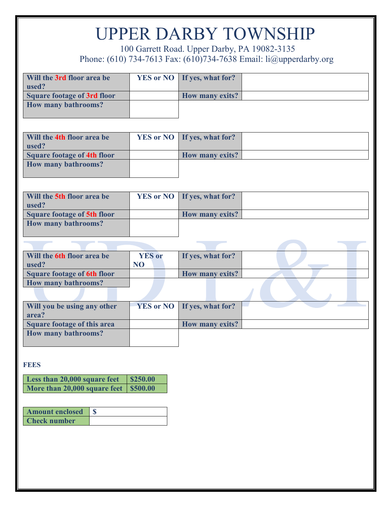100 Garrett Road. Upper Darby, PA 19082-3135<br>Phone: (610) 734-7613 Fax: (610) 734-7638 Email: li@upperdarby.org

| Will the 3rd floor area be         | <b>YES or NO</b> | If yes, what for?      |  |
|------------------------------------|------------------|------------------------|--|
| used?                              |                  |                        |  |
| <b>Square footage of 3rd floor</b> |                  | <b>How many exits?</b> |  |
| <b>How many bathrooms?</b>         |                  |                        |  |
|                                    |                  |                        |  |
|                                    |                  |                        |  |
|                                    |                  |                        |  |
| Will the 4th floor area be         | <b>YES or NO</b> | If yes, what for?      |  |
| used?                              |                  |                        |  |
| <b>Square footage of 4th floor</b> |                  | How many exits?        |  |
| <b>How many bathrooms?</b>         |                  |                        |  |
|                                    |                  |                        |  |
|                                    |                  |                        |  |
|                                    |                  |                        |  |
| Will the 5th floor area be         | <b>YES or NO</b> | If yes, what for?      |  |
| used?                              |                  |                        |  |
|                                    |                  |                        |  |
| <b>Square footage of 5th floor</b> |                  | <b>How many exits?</b> |  |
| <b>How many bathrooms?</b>         |                  |                        |  |
|                                    |                  |                        |  |
|                                    |                  |                        |  |
|                                    |                  |                        |  |
| Will the 6th floor area be         | <b>YES</b> or    | If yes, what for?      |  |
| used?                              | N <sub>O</sub>   |                        |  |
| <b>Square footage of 6th floor</b> |                  | <b>How many exits?</b> |  |
| <b>How many bathrooms?</b>         |                  |                        |  |
|                                    |                  |                        |  |
|                                    |                  |                        |  |
| Will you be using any other        | <b>YES or NO</b> | If yes, what for?      |  |
| area?                              |                  |                        |  |
| <b>Square footage of this area</b> |                  | How many exits?        |  |
| <b>How many bathrooms?</b>         |                  |                        |  |
|                                    |                  |                        |  |
|                                    |                  |                        |  |
|                                    |                  |                        |  |

**FEES**

| Less than 20,000 square feet \\$250.00  |  |
|-----------------------------------------|--|
| More than 20,000 square feet   \$500.00 |  |

| Amount enclosed     |  |
|---------------------|--|
| <b>Check number</b> |  |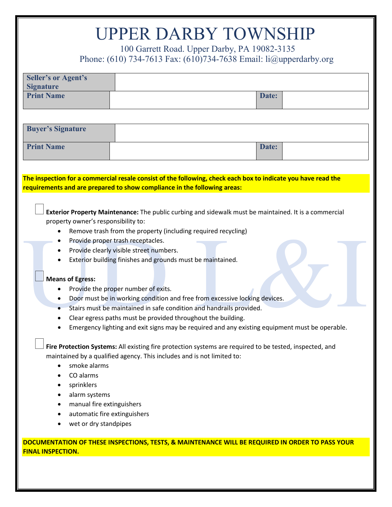| <b>UPPER DARBY TOWNSHIP</b>                                                                                       |                                                                                                         |  |                                                                                                 |  |
|-------------------------------------------------------------------------------------------------------------------|---------------------------------------------------------------------------------------------------------|--|-------------------------------------------------------------------------------------------------|--|
|                                                                                                                   | 100 Garrett Road. Upper Darby, PA 19082-3135                                                            |  |                                                                                                 |  |
| Phone: (610) 734-7613 Fax: (610) 734-7638 Email: $\text{li}(\partial \text{upperdary.org})$                       |                                                                                                         |  |                                                                                                 |  |
| <b>Seller's or Agent's</b><br><b>Signature</b>                                                                    |                                                                                                         |  |                                                                                                 |  |
| <b>Print Name</b>                                                                                                 |                                                                                                         |  | Date:                                                                                           |  |
|                                                                                                                   |                                                                                                         |  |                                                                                                 |  |
| <b>Buyer's Signature</b>                                                                                          |                                                                                                         |  |                                                                                                 |  |
| <b>Print Name</b>                                                                                                 |                                                                                                         |  | Date:                                                                                           |  |
|                                                                                                                   |                                                                                                         |  |                                                                                                 |  |
| The inspection for a commercial resale consist of the following, check each box to indicate you have read the     |                                                                                                         |  |                                                                                                 |  |
| requirements and are prepared to show compliance in the following areas:                                          |                                                                                                         |  |                                                                                                 |  |
|                                                                                                                   |                                                                                                         |  |                                                                                                 |  |
|                                                                                                                   | Exterior Property Maintenance: The public curbing and sidewalk must be maintained. It is a commercial   |  |                                                                                                 |  |
| property owner's responsibility to:                                                                               |                                                                                                         |  |                                                                                                 |  |
|                                                                                                                   | Remove trash from the property (including required recycling)                                           |  |                                                                                                 |  |
|                                                                                                                   | Provide proper trash receptacles.                                                                       |  |                                                                                                 |  |
|                                                                                                                   | Provide clearly visible street numbers.                                                                 |  |                                                                                                 |  |
|                                                                                                                   | Exterior building finishes and grounds must be maintained.                                              |  |                                                                                                 |  |
|                                                                                                                   |                                                                                                         |  |                                                                                                 |  |
| <b>Means of Egress:</b>                                                                                           |                                                                                                         |  |                                                                                                 |  |
| Provide the proper number of exits.<br>Door must be in working condition and free from excessive locking devices. |                                                                                                         |  |                                                                                                 |  |
| Stairs must be maintained in safe condition and handrails provided.                                               |                                                                                                         |  |                                                                                                 |  |
| Clear egress paths must be provided throughout the building.                                                      |                                                                                                         |  |                                                                                                 |  |
| Emergency lighting and exit signs may be required and any existing equipment must be operable.                    |                                                                                                         |  |                                                                                                 |  |
|                                                                                                                   |                                                                                                         |  |                                                                                                 |  |
|                                                                                                                   | Fire Protection Systems: All existing fire protection systems are required to be tested, inspected, and |  |                                                                                                 |  |
|                                                                                                                   | maintained by a qualified agency. This includes and is not limited to:                                  |  |                                                                                                 |  |
| smoke alarms                                                                                                      |                                                                                                         |  |                                                                                                 |  |
| CO alarms<br>$\bullet$                                                                                            |                                                                                                         |  |                                                                                                 |  |
| sprinklers                                                                                                        |                                                                                                         |  |                                                                                                 |  |
| alarm systems<br>٠                                                                                                |                                                                                                         |  |                                                                                                 |  |
| manual fire extinguishers                                                                                         |                                                                                                         |  |                                                                                                 |  |
| automatic fire extinguishers                                                                                      |                                                                                                         |  |                                                                                                 |  |
| wet or dry standpipes                                                                                             |                                                                                                         |  |                                                                                                 |  |
|                                                                                                                   |                                                                                                         |  | DOCUMENTATION OF THESE INSPECTIONS, TESTS, & MAINTENANCE WILL BE REQUIRED IN ORDER TO PASS YOUR |  |
| <b>FINAL INSPECTION.</b>                                                                                          |                                                                                                         |  |                                                                                                 |  |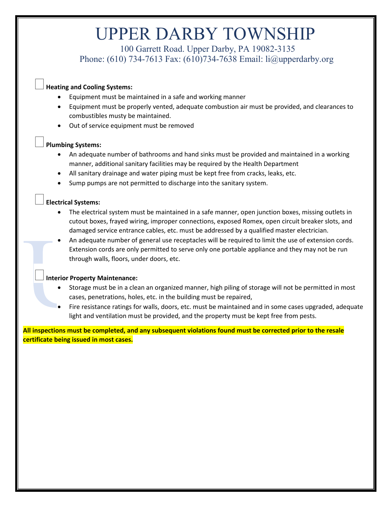# UPPER DARBY TOWNSHIP 100 Garrett Road. Upper Darby, PA 19082-3135

Phone: (610) 734-7613 Fax: (610)734-7638 Email: li@upperdarby.org

#### **Heating and Cooling Systems:**

- Equipment must be maintained in a safe and working manner
- Equipment must be properly vented, adequate combustion air must be provided, and clearances to combustibles musty be maintained.
- Out of service equipment must be removed

#### **Plumbing Systems:**

- An adequate number of bathrooms and hand sinks must be provided and maintained in a working manner, additional sanitary facilities may be required by the Health Department
- All sanitary drainage and water piping must be kept free from cracks, leaks, etc.
- Sump pumps are not permitted to discharge into the sanitary system.

#### **Electrical Systems:**

- The electrical system must be maintained in a safe manner, open junction boxes, missing outlets in cutout boxes, frayed wiring, improper connections, exposed Romex, open circuit breaker slots, and damaged service entrance cables, etc. must be addressed by a qualified master electrician.
- An adequate number of general use receptacles will be required to limit the use of extension cords. Extension cords are only permitted to serve only one portable appliance and they may not be run through walls, floors, under doors, etc.

#### **Interior Property Maintenance:**

- Storage must be in a clean an organized manner, high piling of storage will not be permitted in most cases, penetrations, holes, etc. in the building must be repaired,
- Fire resistance ratings for walls, doors, etc. must be maintained and in some cases upgraded, adequate light and ventilation must be provided, and the property must be kept free from pests.

**All inspections must be completed, and any subsequent violations found must be corrected prior to the resale certificate being issued in most cases.**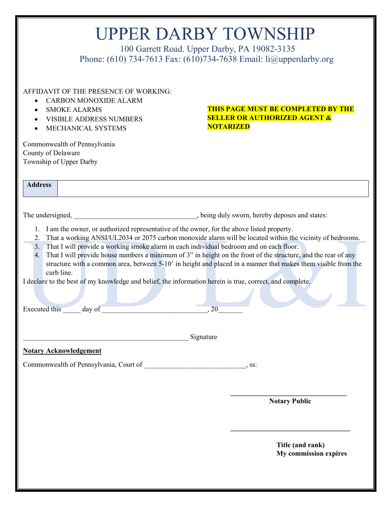| <b>UPPER DARBY TOWNSHIP</b> |  |
|-----------------------------|--|
|-----------------------------|--|

100 Garrett Road. Upper Darby, PA 19082-3135 Phone: (610) 734-7613 Fax: (610)734-7638 Email: li@upperdarby.org

AFFIDAVIT OF THE PRESENCE OF WORKING:

- CARBON MONOXIDE ALARM
- SMOKE ALARMS
- VISIBLE ADDRESS NUMBERS
- MECHANICAL SYSTEMS

Commonwealth of Pennsylvania County of Delaware Township of Upper Darby

**Address**

#### **THIS PAGE MUST BE COMPLETED BY THE SELLER OR AUTHORIZED AGENT & NOTARIZED**

The undersigned, The undersigned,  $\qquad \qquad$ , being duly sworn, hereby deposes and states:

- 1. I am the owner, or authorized representative of the owner, for the above listed property.
- 2. That a working ANSI/UL2034 or 2075 carbon monoxide alarm will be located within the vicinity of bedrooms.
- 3. That I will provide a working smoke alarm in each individual bedroom and on each floor.
- 4. That I will provide house numbers a minimum of 3" in height on the front of the structure, and the rear of any structure with a common area, between 5-10' in height and placed in a manner that makes them visible from the curb line.

I declare to the best of my knowledge and belief, the information herein is true, correct, and complete.

| Executed this |  |  |
|---------------|--|--|
|               |  |  |

 $Signature$ 

**Notary Acknowledgement**

Commonwealth of Pennsylvania, Court of \_\_\_\_\_\_\_\_\_\_\_\_\_\_\_\_\_\_\_\_\_\_\_\_\_\_, ss:

**\_\_\_\_\_\_\_\_\_\_\_\_\_\_\_\_\_\_\_\_\_\_\_\_\_\_\_\_\_\_\_\_\_ Notary Public**

**\_\_\_\_\_\_\_\_\_\_\_\_\_\_\_\_\_\_\_\_\_\_\_\_\_\_\_\_\_\_\_\_\_\_**

**Title (and rank) My commission expires**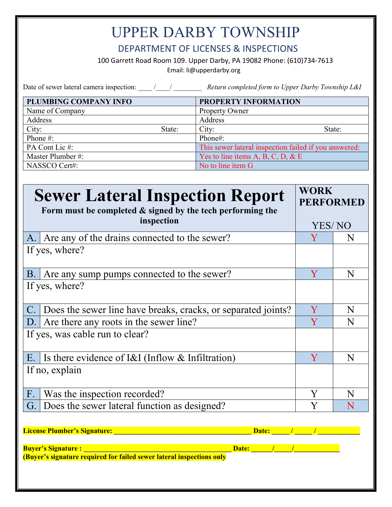#### DEPARTMENT OF LICENSES & INSPECTIONS

100 Garrett Road Room 109. Upper Darby, PA 19082 Phone: (610)734-7613

Email: li@upperdarby.org

Date of sewer lateral camera inspection: \_\_\_\_ /\_\_\_\_/ \_\_\_\_\_\_\_\_\_ *Return completed form to Upper Darby Township L&I* PLUMBING COMPANY INFO<br>
PROPERTY INFORMATION Name of Company Property Owner

| Address           |        | Address                                               |
|-------------------|--------|-------------------------------------------------------|
| City:             | State: | City:<br>State:                                       |
| Phone #:          |        | Phone#:                                               |
| PA Cont Lic #:    |        | This sewer lateral inspection failed if you answered: |
| Master Plumber #: |        | Yes to line items A, B, C, D, & E                     |
| NASSCO Cert#:     |        | No to line item G                                     |

|                | <b>Sewer Lateral Inspection Report</b><br>Form must be completed $\&$ signed by the tech performing the<br>inspection | <b>WORK</b><br><b>PERFORMED</b> |   |
|----------------|-----------------------------------------------------------------------------------------------------------------------|---------------------------------|---|
|                |                                                                                                                       | YES/NO                          |   |
| A.             | Are any of the drains connected to the sewer?                                                                         | Y                               | N |
|                | If yes, where?                                                                                                        |                                 |   |
| <b>B.</b>      | Are any sump pumps connected to the sewer?                                                                            | $\mathbf{{V}}$                  | N |
|                | If yes, where?                                                                                                        |                                 |   |
| $\mathcal{C}.$ | Does the sewer line have breaks, cracks, or separated joints?                                                         | Y                               | N |
| $D_{\cdot}$    | Are there any roots in the sewer line?                                                                                | Y                               | N |
|                | If yes, was cable run to clear?                                                                                       |                                 |   |
| E.             | Is there evidence of $I&I$ (Inflow $&I$ Infiltration)                                                                 | Y                               | N |
|                | If no, explain                                                                                                        |                                 |   |
| F.             | Was the inspection recorded?                                                                                          |                                 |   |
| G.             | Does the sewer lateral function as designed?                                                                          |                                 |   |

| <b>Buyer's Signature :</b><br>Date:                                   |
|-----------------------------------------------------------------------|
|                                                                       |
| (Buyer's signature required for failed sewer lateral inspections only |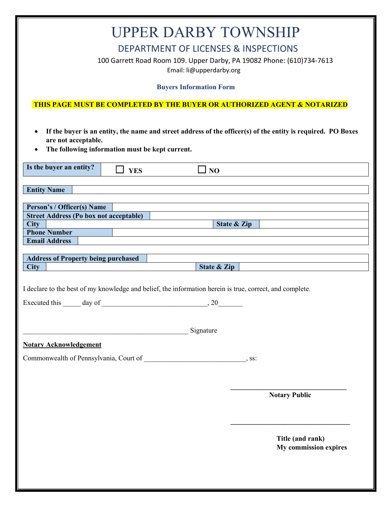|                                                                                                                   | <b>UPPER DARBY TOWNSHIP</b>                                                                                                                          |
|-------------------------------------------------------------------------------------------------------------------|------------------------------------------------------------------------------------------------------------------------------------------------------|
|                                                                                                                   | <b>DEPARTMENT OF LICENSES &amp; INSPECTIONS</b><br>100 Garrett Road Room 109. Upper Darby, PA 19082 Phone: (610)734-7613<br>Email: li@upperdarby.org |
|                                                                                                                   | <b>Buyers Information Form</b>                                                                                                                       |
|                                                                                                                   | <b>THIS PAGE MUST BE COMPLETED BY THE BUYER OR AUTHORIZED AGENT &amp; NOTARIZED</b>                                                                  |
| $\bullet$<br>are not acceptable.<br>The following information must be kept current.<br>$\bullet$                  | If the buyer is an entity, the name and street address of the officer(s) of the entity is required. PO Boxes                                         |
| Is the buyer an entity?<br><b>YES</b>                                                                             | N <sub>O</sub>                                                                                                                                       |
| <b>Entity Name</b>                                                                                                |                                                                                                                                                      |
| Person's / Officer(s) Name<br><b>Street Address (Po box not acceptable)</b><br><b>City</b><br><b>Phone Number</b> | State & Zip                                                                                                                                          |
| <b>Email Address</b>                                                                                              |                                                                                                                                                      |
| <b>Address of Property being purchased</b>                                                                        |                                                                                                                                                      |
| <b>City</b>                                                                                                       | State & Zip                                                                                                                                          |
| I declare to the best of my knowledge and belief, the information herein is true, correct, and complete.          |                                                                                                                                                      |
| Executed this<br>day of                                                                                           | , 20                                                                                                                                                 |
|                                                                                                                   | Signature                                                                                                                                            |
| <b>Notary Acknowledgement</b>                                                                                     |                                                                                                                                                      |
|                                                                                                                   |                                                                                                                                                      |
|                                                                                                                   |                                                                                                                                                      |
|                                                                                                                   | <b>Notary Public</b>                                                                                                                                 |
|                                                                                                                   | Title (and rank)<br><b>My commission expires</b>                                                                                                     |
|                                                                                                                   |                                                                                                                                                      |